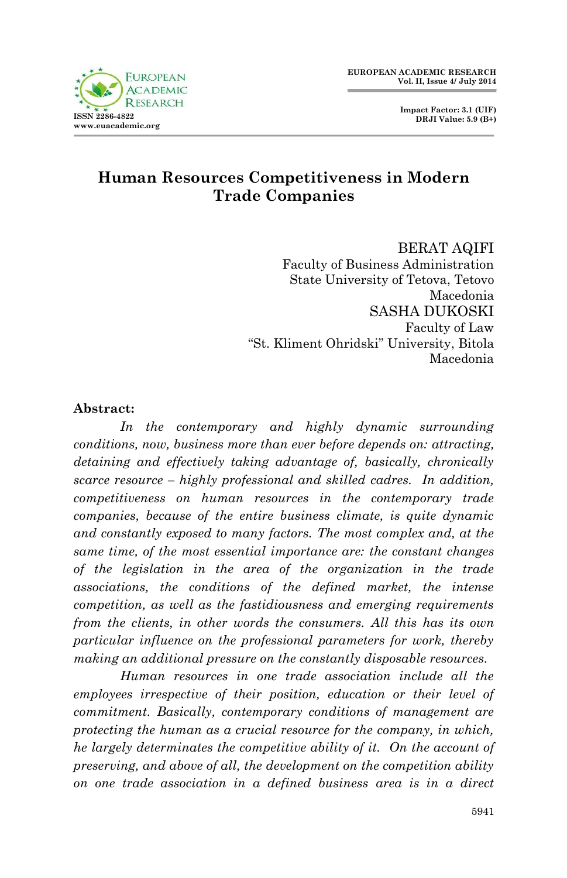

 **Impact Factor: 3.1 (UIF) DRJI Value: 5.9 (B+)**

### **Human Resources Competitiveness in Modern Trade Companies**

BERAT AQIFI Faculty of Business Administration State University of Tetova, Tetovo Macedonia SASHA DUKOSKI Faculty of Law "St. Kliment Ohridski" University, Bitola Macedonia

### **Abstract:**

*In the contemporary and highly dynamic surrounding conditions, now, business more than ever before depends on: attracting, detaining and effectively taking advantage of, basically, chronically scarce resource – highly professional and skilled cadres. In addition, competitiveness on human resources in the contemporary trade companies, because of the entire business climate, is quite dynamic and constantly exposed to many factors. The most complex and, at the same time, of the most essential importance are: the constant changes of the legislation in the area of the organization in the trade associations, the conditions of the defined market, the intense competition, as well as the fastidiousness and emerging requirements from the clients, in other words the consumers. All this has its own particular influence on the professional parameters for work, thereby making an additional pressure on the constantly disposable resources.*

*Human resources in one trade association include all the employees irrespective of their position, education or their level of commitment. Basically, contemporary conditions of management are protecting the human as a crucial resource for the company, in which, he largely determinates the competitive ability of it. On the account of preserving, and above of all, the development on the competition ability on one trade association in a defined business area is in a direct*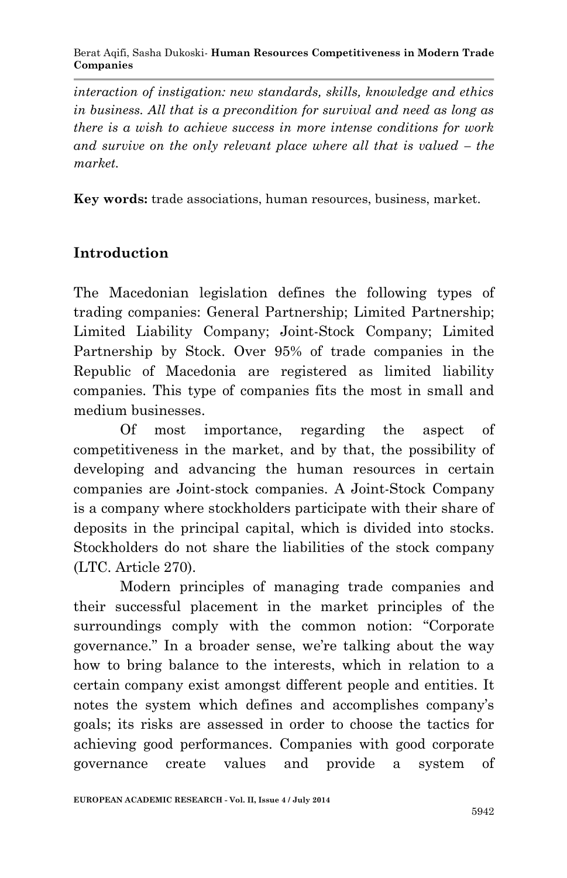*interaction of instigation: new standards, skills, knowledge and ethics in business. All that is a precondition for survival and need as long as there is a wish to achieve success in more intense conditions for work and survive on the only relevant place where all that is valued – the market.*

**Key words:** trade associations, human resources, business, market.

## **Introduction**

The Macedonian legislation defines the following types of trading companies: General Partnership; Limited Partnership; Limited Liability Company; Joint-Stock Company; Limited Partnership by Stock. Over 95% of trade companies in the Republic of Macedonia are registered as limited liability companies. This type of companies fits the most in small and medium businesses.

Of most importance, regarding the aspect of competitiveness in the market, and by that, the possibility of developing and advancing the human resources in certain companies are Joint-stock companies. A Joint-Stock Company is a company where stockholders participate with their share of deposits in the principal capital, which is divided into stocks. Stockholders do not share the liabilities of the stock company (LTC. Article 270).

Modern principles of managing trade companies and their successful placement in the market principles of the surroundings comply with the common notion: "Corporate governance." In a broader sense, we're talking about the way how to bring balance to the interests, which in relation to a certain company exist amongst different people and entities. It notes the system which defines and accomplishes company's goals; its risks are assessed in order to choose the tactics for achieving good performances. Companies with good corporate governance create values and provide a system of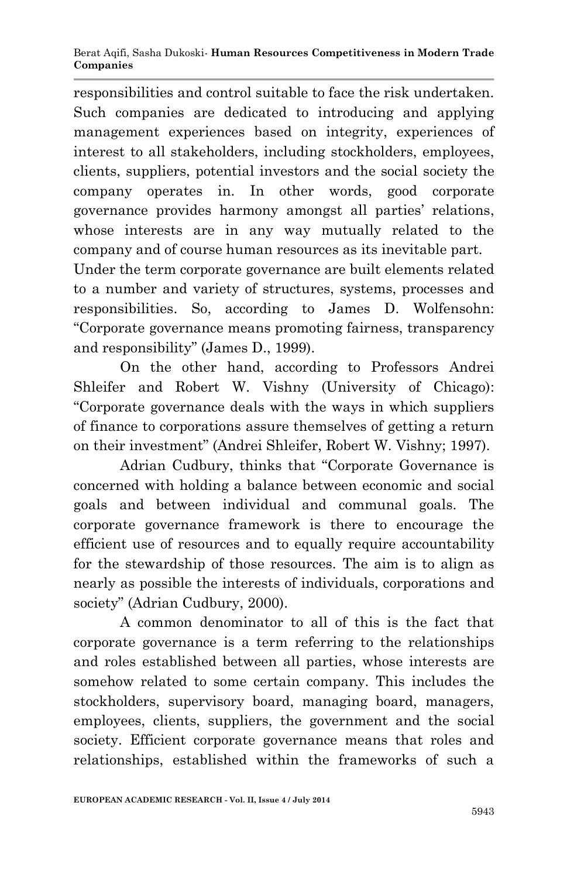responsibilities and control suitable to face the risk undertaken. Such companies are dedicated to introducing and applying management experiences based on integrity, experiences of interest to all stakeholders, including stockholders, employees, clients, suppliers, potential investors and the social society the company operates in. In other words, good corporate governance provides harmony amongst all parties' relations, whose interests are in any way mutually related to the company and of course human resources as its inevitable part.

Under the term corporate governance are built elements related to a number and variety of structures, systems, processes and responsibilities. So, according to James D. Wolfensohn: "Corporate governance means promoting fairness, transparency and responsibility" (James D., 1999).

On the other hand, according to Professors Andrei Shleifer and Robert W. Vishny (University of Chicago): "Corporate governance deals with the ways in which suppliers of finance to corporations assure themselves of getting a return on their investment" (Andrei Shleifer, Robert W. Vishny; 1997).

Adrian Cudbury, thinks that "Corporate Governance is concerned with holding a balance between economic and social goals and between individual and communal goals. The corporate governance framework is there to encourage the efficient use of resources and to equally require accountability for the stewardship of those resources. The aim is to align as nearly as possible the interests of individuals, corporations and society" (Adrian Cudbury, 2000).

A common denominator to all of this is the fact that corporate governance is a term referring to the relationships and roles established between all parties, whose interests are somehow related to some certain company. This includes the stockholders, supervisory board, managing board, managers, employees, clients, suppliers, the government and the social society. Efficient corporate governance means that roles and relationships, established within the frameworks of such a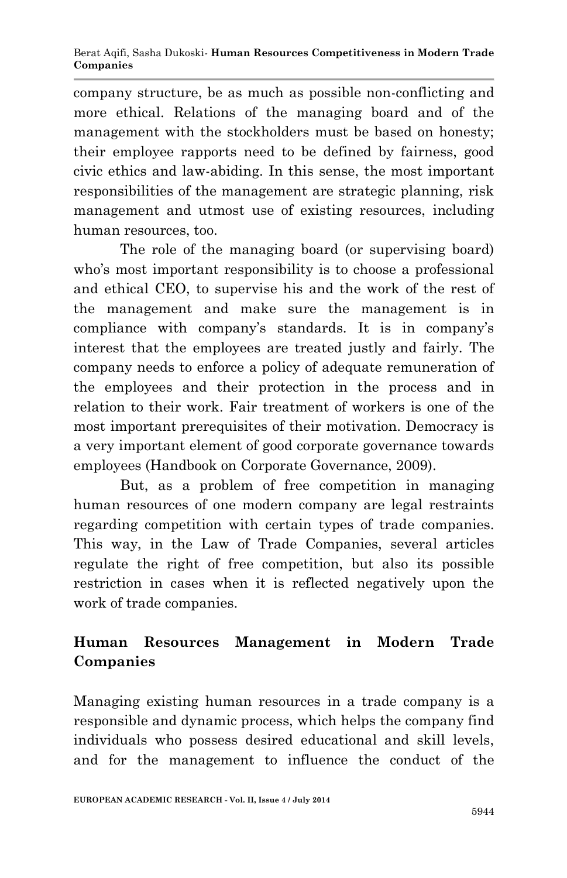company structure, be as much as possible non-conflicting and more ethical. Relations of the managing board and of the management with the stockholders must be based on honesty; their employee rapports need to be defined by fairness, good civic ethics and law-abiding. In this sense, the most important responsibilities of the management are strategic planning, risk management and utmost use of existing resources, including human resources, too.

The role of the managing board (or supervising board) who's most important responsibility is to choose a professional and ethical CEO, to supervise his and the work of the rest of the management and make sure the management is in compliance with company's standards. It is in company's interest that the employees are treated justly and fairly. The company needs to enforce a policy of adequate remuneration of the employees and their protection in the process and in relation to their work. Fair treatment of workers is one of the most important prerequisites of their motivation. Democracy is a very important element of good corporate governance towards employees (Handbook on Corporate Governance, 2009).

But, as a problem of free competition in managing human resources of one modern company are legal restraints regarding competition with certain types of trade companies. This way, in the Law of Trade Companies, several articles regulate the right of free competition, but also its possible restriction in cases when it is reflected negatively upon the work of trade companies.

# **Human Resources Management in Modern Trade Companies**

Managing existing human resources in a trade company is a responsible and dynamic process, which helps the company find individuals who possess desired educational and skill levels, and for the management to influence the conduct of the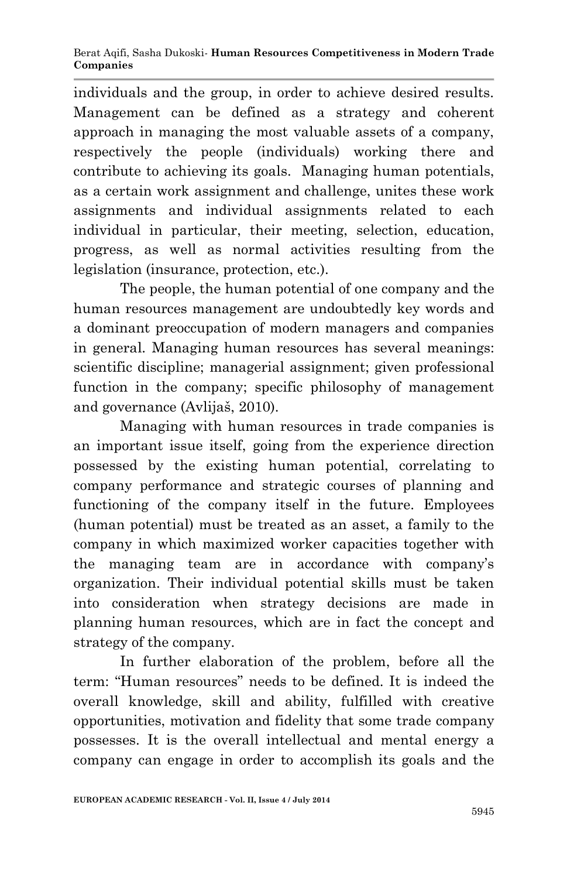individuals and the group, in order to achieve desired results. Management can be defined as a strategy and coherent approach in managing the most valuable assets of a company, respectively the people (individuals) working there and contribute to achieving its goals. Managing human potentials, as a certain work assignment and challenge, unites these work assignments and individual assignments related to each individual in particular, their meeting, selection, education, progress, as well as normal activities resulting from the legislation (insurance, protection, etc.).

The people, the human potential of one company and the human resources management are undoubtedly key words and a dominant preoccupation of modern managers and companies in general. Managing human resources has several meanings: scientific discipline; managerial assignment; given professional function in the company; specific philosophy of management and governance (Avlijaš, 2010).

Managing with human resources in trade companies is an important issue itself, going from the experience direction possessed by the existing human potential, correlating to company performance and strategic courses of planning and functioning of the company itself in the future. Employees (human potential) must be treated as an asset, a family to the company in which maximized worker capacities together with the managing team are in accordance with company's organization. Their individual potential skills must be taken into consideration when strategy decisions are made in planning human resources, which are in fact the concept and strategy of the company.

In further elaboration of the problem, before all the term: "Human resources" needs to be defined. It is indeed the overall knowledge, skill and ability, fulfilled with creative opportunities, motivation and fidelity that some trade company possesses. It is the overall intellectual and mental energy a company can engage in order to accomplish its goals and the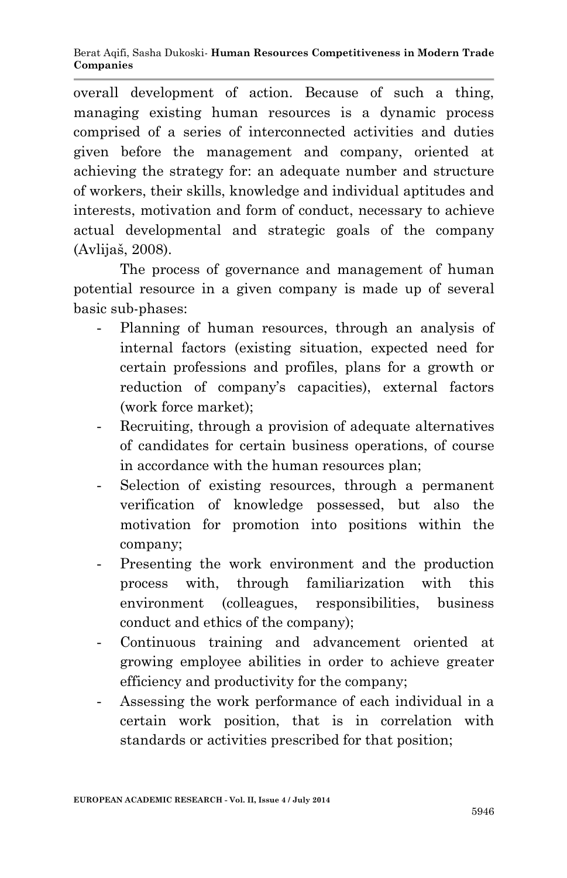overall development of action. Because of such a thing, managing existing human resources is a dynamic process comprised of a series of interconnected activities and duties given before the management and company, oriented at achieving the strategy for: an adequate number and structure of workers, their skills, knowledge and individual aptitudes and interests, motivation and form of conduct, necessary to achieve actual developmental and strategic goals of the company (Avlijaš, 2008).

The process of governance and management of human potential resource in a given company is made up of several basic sub-phases:

- Planning of human resources, through an analysis of internal factors (existing situation, expected need for certain professions and profiles, plans for a growth or reduction of company's capacities), external factors (work force market);
- Recruiting, through a provision of adequate alternatives of candidates for certain business operations, of course in accordance with the human resources plan;
- Selection of existing resources, through a permanent verification of knowledge possessed, but also the motivation for promotion into positions within the company;
- Presenting the work environment and the production process with, through familiarization with this environment (colleagues, responsibilities, business conduct and ethics of the company);
- Continuous training and advancement oriented at growing employee abilities in order to achieve greater efficiency and productivity for the company;
- Assessing the work performance of each individual in a certain work position, that is in correlation with standards or activities prescribed for that position;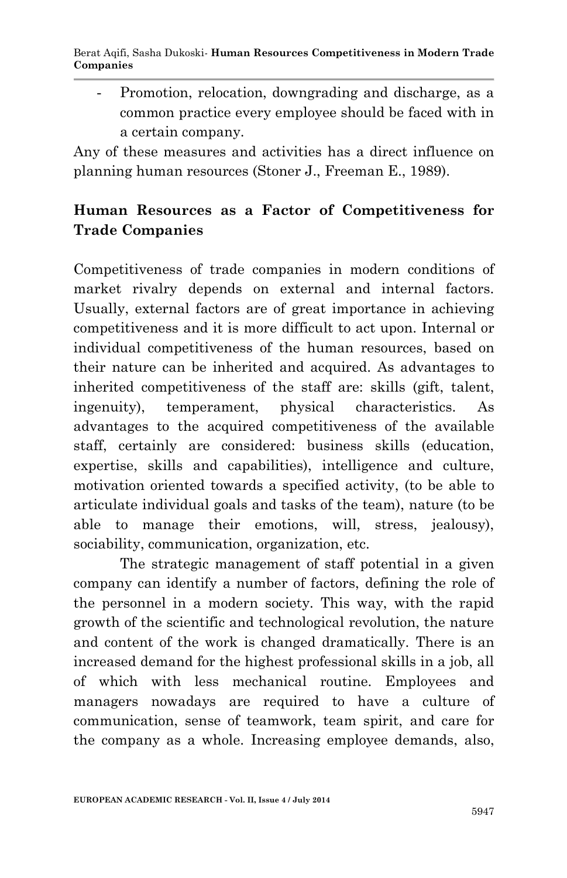Promotion, relocation, downgrading and discharge, as a common practice every employee should be faced with in a certain company.

Any of these measures and activities has a direct influence on planning human resources (Stoner J., Freeman E., 1989).

## **Human Resources as a Factor of Competitiveness for Trade Companies**

Competitiveness of trade companies in modern conditions of market rivalry depends on external and internal factors. Usually, external factors are of great importance in achieving competitiveness and it is more difficult to act upon. Internal or individual competitiveness of the human resources, based on their nature can be inherited and acquired. As advantages to inherited competitiveness of the staff are: skills (gift, talent, ingenuity), temperament, physical characteristics. As advantages to the acquired competitiveness of the available staff, certainly are considered: business skills (education, expertise, skills and capabilities), intelligence and culture, motivation oriented towards a specified activity, (to be able to articulate individual goals and tasks of the team), nature (to be able to manage their emotions, will, stress, jealousy), sociability, communication, organization, etc.

The strategic management of staff potential in a given company can identify a number of factors, defining the role of the personnel in a modern society. This way, with the rapid growth of the scientific and technological revolution, the nature and content of the work is changed dramatically. There is an increased demand for the highest professional skills in a job, all of which with less mechanical routine. Employees and managers nowadays are required to have a culture of communication, sense of teamwork, team spirit, and care for the company as a whole. Increasing employee demands, also,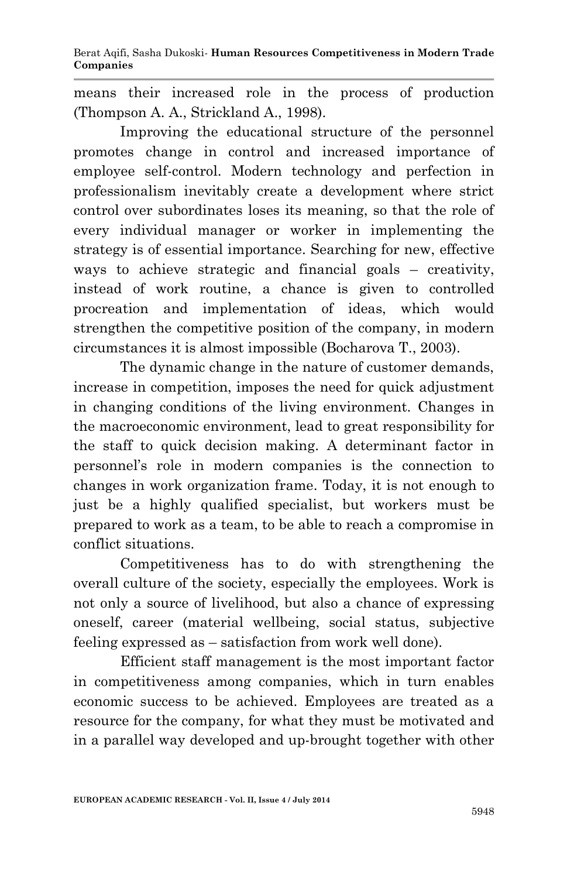means their increased role in the process of production (Thompson A. A., Strickland A., 1998).

Improving the educational structure of the personnel promotes change in control and increased importance of employee self-control. Modern technology and perfection in professionalism inevitably create a development where strict control over subordinates loses its meaning, so that the role of every individual manager or worker in implementing the strategy is of essential importance. Searching for new, effective ways to achieve strategic and financial goals – creativity, instead of work routine, a chance is given to controlled procreation and implementation of ideas, which would strengthen the competitive position of the company, in modern circumstances it is almost impossible (Bocharova T., 2003).

The dynamic change in the nature of customer demands, increase in competition, imposes the need for quick adjustment in changing conditions of the living environment. Changes in the macroeconomic environment, lead to great responsibility for the staff to quick decision making. A determinant factor in personnel's role in modern companies is the connection to changes in work organization frame. Today, it is not enough to just be a highly qualified specialist, but workers must be prepared to work as a team, to be able to reach a compromise in conflict situations.

Competitiveness has to do with strengthening the overall culture of the society, especially the employees. Work is not only a source of livelihood, but also a chance of expressing oneself, career (material wellbeing, social status, subjective feeling expressed as – satisfaction from work well done).

Efficient staff management is the most important factor in competitiveness among companies, which in turn enables economic success to be achieved. Employees are treated as a resource for the company, for what they must be motivated and in a parallel way developed and up-brought together with other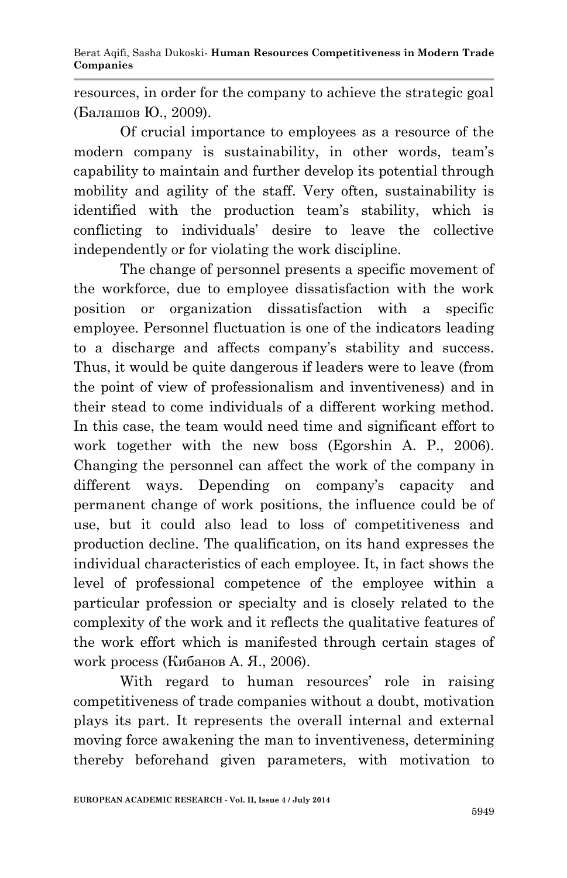resources, in order for the company to achieve the strategic goal (Балашов Ю., 2009).

Of crucial importance to employees as a resource of the modern company is sustainability, in other words, team's capability to maintain and further develop its potential through mobility and agility of the staff. Very often, sustainability is identified with the production team's stability, which is conflicting to individuals' desire to leave the collective independently or for violating the work discipline.

The change of personnel presents a specific movement of the workforce, due to employee dissatisfaction with the work position or organization dissatisfaction with a specific employee. Personnel fluctuation is one of the indicators leading to a discharge and affects company's stability and success. Thus, it would be quite dangerous if leaders were to leave (from the point of view of professionalism and inventiveness) and in their stead to come individuals of a different working method. In this case, the team would need time and significant effort to work together with the new boss (Egorshin A. P., 2006). Changing the personnel can affect the work of the company in different ways. Depending on company's capacity and permanent change of work positions, the influence could be of use, but it could also lead to loss of competitiveness and production decline. The qualification, on its hand expresses the individual characteristics of each employee. It, in fact shows the level of professional competence of the employee within a particular profession or specialty and is closely related to the complexity of the work and it reflects the qualitative features of the work effort which is manifested through certain stages of work process (Кибанов А. Я., 2006).

With regard to human resources' role in raising competitiveness of trade companies without a doubt, motivation plays its part. It represents the overall internal and external moving force awakening the man to inventiveness, determining thereby beforehand given parameters, with motivation to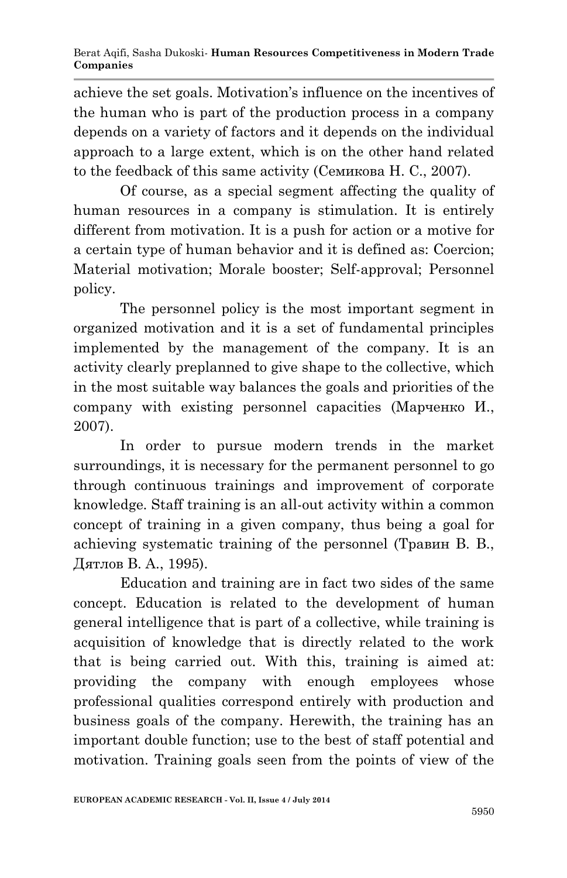achieve the set goals. Motivation's influence on the incentives of the human who is part of the production process in a company depends on a variety of factors and it depends on the individual approach to a large extent, which is on the other hand related to the feedback of this same activity (Семикова Н. С., 2007).

Of course, as a special segment affecting the quality of human resources in a company is stimulation. It is entirely different from motivation. It is a push for action or a motive for a certain type of human behavior and it is defined as: Coercion; Material motivation; Morale booster; Self-approval; Personnel policy.

The personnel policy is the most important segment in organized motivation and it is a set of fundamental principles implemented by the management of the company. It is an activity clearly preplanned to give shape to the collective, which in the most suitable way balances the goals and priorities of the company with existing personnel capacities (Марченко И., 2007).

In order to pursue modern trends in the market surroundings, it is necessary for the permanent personnel to go through continuous trainings and improvement of corporate knowledge. Staff training is an all-out activity within a common concept of training in a given company, thus being a goal for achieving systematic training of the personnel (Травин В. В., Дятлов В. А., 1995).

Education and training are in fact two sides of the same concept. Education is related to the development of human general intelligence that is part of a collective, while training is acquisition of knowledge that is directly related to the work that is being carried out. With this, training is aimed at: providing the company with enough employees whose professional qualities correspond entirely with production and business goals of the company. Herewith, the training has an important double function; use to the best of staff potential and motivation. Training goals seen from the points of view of the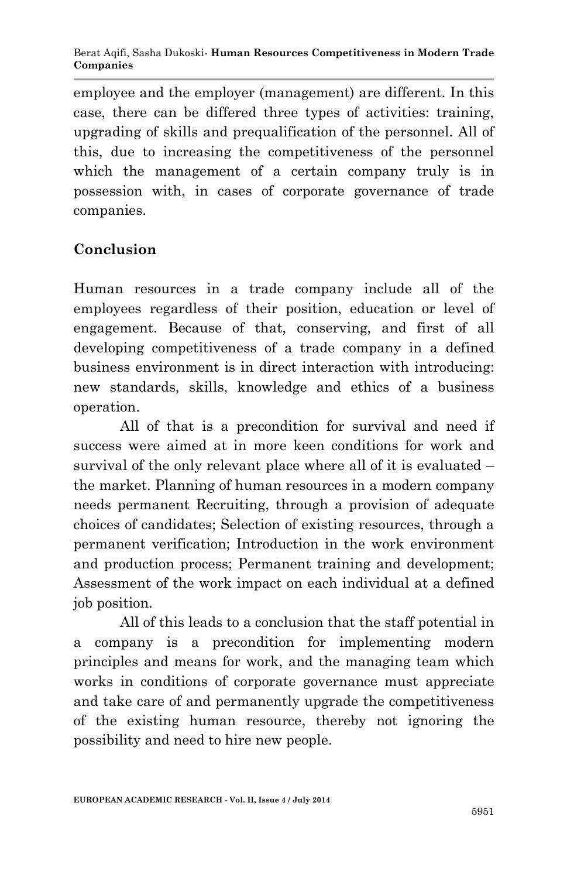employee and the employer (management) are different. In this case, there can be differed three types of activities: training, upgrading of skills and prequalification of the personnel. All of this, due to increasing the competitiveness of the personnel which the management of a certain company truly is in possession with, in cases of corporate governance of trade companies.

## **Conclusion**

Human resources in a trade company include all of the employees regardless of their position, education or level of engagement. Because of that, conserving, and first of all developing competitiveness of a trade company in a defined business environment is in direct interaction with introducing: new standards, skills, knowledge and ethics of a business operation.

All of that is a precondition for survival and need if success were aimed at in more keen conditions for work and survival of the only relevant place where all of it is evaluated – the market. Planning of human resources in a modern company needs permanent Recruiting, through a provision of adequate choices of candidates; Selection of existing resources, through a permanent verification; Introduction in the work environment and production process; Permanent training and development; Assessment of the work impact on each individual at a defined job position.

All of this leads to a conclusion that the staff potential in a company is a precondition for implementing modern principles and means for work, and the managing team which works in conditions of corporate governance must appreciate and take care of and permanently upgrade the competitiveness of the existing human resource, thereby not ignoring the possibility and need to hire new people.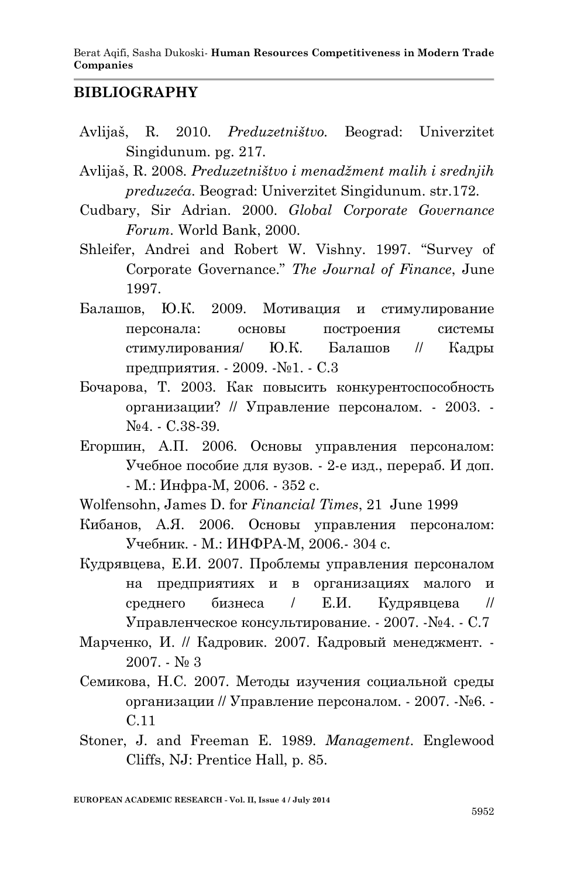Berat Aqifi, Sasha Dukoski*-* **Human Resources Competitiveness in Modern Trade Companies**

#### **BIBLIOGRAPHY**

- Avlijaš, R. 2010. *Preduzetništvo.* Beograd: Univerzitet Singidunum. pg. 217.
- Avlijaš, R. 2008. *Preduzetništvo i menadžment malih i srednjih preduzeća*. Beograd: Univerzitet Singidunum. str.172.
- Cudbary, Sir Adrian. 2000. *Global Corporate Governance Forum.* World Bank, 2000.
- Shleifer, Andrei and Robert W. Vishny. 1997. "Survey of Corporate Governance." *The Journal of Finance*, June 1997.
- Балашов, Ю.К. 2009. Мотивация и стимулирование персонала: основы построения системы стимулирования/ Ю.К. Балашов // Кадры предприятия. - 2009. -№1. - С.3
- Бочарова, Т. 2003. Как повысить конкурентоспособность организации? // Управление персоналом. - 2003. - №4. - С.38-39.
- Егоршин, А.П. 2006. Основы управления персоналом: Учебное пособие для вузов. - 2-е изд., перераб. И доп. - М.: Инфра-М, 2006. - 352 с.
- Wolfensohn, James D. for *Financial Times*, 21 June 1999
- Кибанов, А.Я. 2006. Основы управления персоналом: Учебник. - М.: ИНФРА-М, 2006.- 304 с.
- Кудрявцева, Е.И. 2007. Проблемы управления персоналом на предприятиях и в организациях малого и среднего бизнеса / Е.И. Кудрявцева // Управленческое консультирование. - 2007. -№4. - С.7
- Марченко, И. // Кадровик. 2007. Кадровый менеджмент. 2007. -  $N_2$  3
- Семикова, Н.С. 2007. Методы изучения социальной среды организации // Управление персоналом. - 2007. -№6. - С.11
- Stoner, J. and Freeman E. 1989. *Management*. Englewood Cliffs, NJ: Prentice Hall, p. 85.